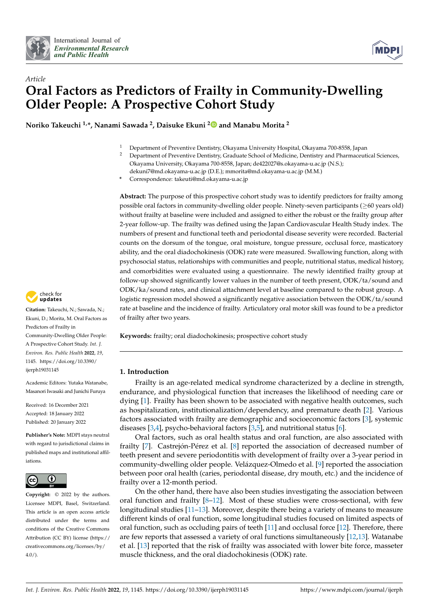



# *Article* **Oral Factors as Predictors of Frailty in Community-Dwelling Older People: A Prospective Cohort Study**

**Noriko Takeuchi 1,\*, Nanami Sawada <sup>2</sup> , Daisuke Ekuni [2](https://orcid.org/0000-0002-1876-5605) and Manabu Morita <sup>2</sup>**

- <sup>1</sup> Department of Preventive Dentistry, Okayama University Hospital, Okayama 700-8558, Japan<br><sup>2</sup> Department of Preventive Dentistry, Craduate School of Modisine, Dentistry and Pharmaceut
	- <sup>2</sup> Department of Preventive Dentistry, Graduate School of Medicine, Dentistry and Pharmaceutical Sciences, Okayama University, Okayama 700-8558, Japan; de422027@s.okayama-u.ac.jp (N.S.); dekuni7@md.okayama-u.ac.jp (D.E.); mmorita@md.okayama-u.ac.jp (M.M.)

**\*** Correspondence: takeuti@md.okayama-u.ac.jp

**Abstract:** The purpose of this prospective cohort study was to identify predictors for frailty among possible oral factors in community-dwelling older people. Ninety-seven participants (≥60 years old) without frailty at baseline were included and assigned to either the robust or the frailty group after 2-year follow-up. The frailty was defined using the Japan Cardiovascular Health Study index. The numbers of present and functional teeth and periodontal disease severity were recorded. Bacterial counts on the dorsum of the tongue, oral moisture, tongue pressure, occlusal force, masticatory ability, and the oral diadochokinesis (ODK) rate were measured. Swallowing function, along with psychosocial status, relationships with communities and people, nutritional status, medical history, and comorbidities were evaluated using a questionnaire. The newly identified frailty group at follow-up showed significantly lower values in the number of teeth present, ODK/ta/sound and ODK/ka/sound rates, and clinical attachment level at baseline compared to the robust group. A logistic regression model showed a significantly negative association between the ODK/ta/sound rate at baseline and the incidence of frailty. Articulatory oral motor skill was found to be a predictor of frailty after two years.

**Keywords:** frailty; oral diadochokinesis; prospective cohort study

# **1. Introduction**

Frailty is an age-related medical syndrome characterized by a decline in strength, endurance, and physiological function that increases the likelihood of needing care or dying [\[1\]](#page-10-0). Frailty has been shown to be associated with negative health outcomes, such as hospitalization, institutionalization/dependency, and premature death [\[2\]](#page-10-1). Various factors associated with frailty are demographic and socioeconomic factors [\[3\]](#page-10-2), systemic diseases  $[3,4]$  $[3,4]$ , psycho-behavioral factors  $[3,5]$  $[3,5]$ , and nutritional status [\[6\]](#page-10-5).

Oral factors, such as oral health status and oral function, are also associated with frailty [\[7\]](#page-10-6). Castrejón-Pérez et al. [\[8\]](#page-10-7) reported the association of decreased number of teeth present and severe periodontitis with development of frailty over a 3-year period in community-dwelling older people. Velázquez-Olmedo et al. [\[9\]](#page-10-8) reported the association between poor oral health (caries, periodontal disease, dry mouth, etc.) and the incidence of frailty over a 12-month period.

On the other hand, there have also been studies investigating the association between oral function and frailty  $[8-12]$  $[8-12]$ . Most of these studies were cross-sectional, with few longitudinal studies [\[11](#page-10-10)[–13\]](#page-10-11). Moreover, despite there being a variety of means to measure different kinds of oral function, some longitudinal studies focused on limited aspects of oral function, such as occluding pairs of teeth  $[11]$  and occlusal force  $[12]$ . Therefore, there are few reports that assessed a variety of oral functions simultaneously [\[12,](#page-10-9)[13\]](#page-10-11). Watanabe et al. [\[13\]](#page-10-11) reported that the risk of frailty was associated with lower bite force, masseter muscle thickness, and the oral diadochokinesis (ODK) rate.



**Citation:** Takeuchi, N.; Sawada, N.; Ekuni, D.; Morita, M. Oral Factors as Predictors of Frailty in Community-Dwelling Older People: A Prospective Cohort Study. *Int. J. Environ. Res. Public Health* **2022**, *19*, 1145. [https://doi.org/10.3390/](https://doi.org/10.3390/ijerph19031145) [ijerph19031145](https://doi.org/10.3390/ijerph19031145)

Academic Editors: Yutaka Watanabe, Masanori Iwasaki and Junichi Furuya

Received: 16 December 2021 Accepted: 18 January 2022 Published: 20 January 2022

**Publisher's Note:** MDPI stays neutral with regard to jurisdictional claims in published maps and institutional affiliations.



**Copyright:** © 2022 by the authors. Licensee MDPI, Basel, Switzerland. This article is an open access article distributed under the terms and conditions of the Creative Commons Attribution (CC BY) license [\(https://](https://creativecommons.org/licenses/by/4.0/) [creativecommons.org/licenses/by/](https://creativecommons.org/licenses/by/4.0/)  $4.0/$ ).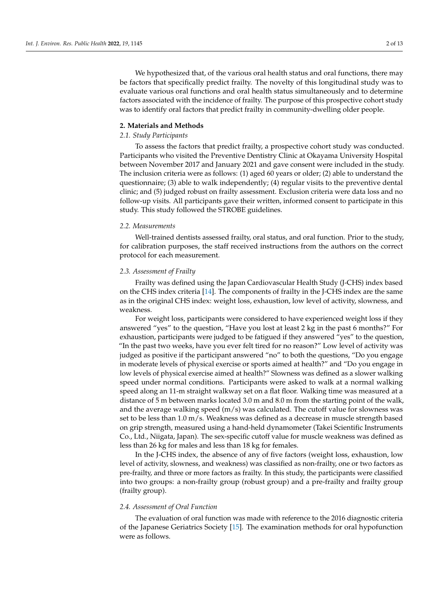We hypothesized that, of the various oral health status and oral functions, there may be factors that specifically predict frailty. The novelty of this longitudinal study was to evaluate various oral functions and oral health status simultaneously and to determine factors associated with the incidence of frailty. The purpose of this prospective cohort study was to identify oral factors that predict frailty in community-dwelling older people.

#### **2. Materials and Methods**

## *2.1. Study Participants*

To assess the factors that predict frailty, a prospective cohort study was conducted. Participants who visited the Preventive Dentistry Clinic at Okayama University Hospital between November 2017 and January 2021 and gave consent were included in the study. The inclusion criteria were as follows: (1) aged 60 years or older; (2) able to understand the questionnaire; (3) able to walk independently; (4) regular visits to the preventive dental clinic; and (5) judged robust on frailty assessment. Exclusion criteria were data loss and no follow-up visits. All participants gave their written, informed consent to participate in this study. This study followed the STROBE guidelines.

#### *2.2. Measurements*

Well-trained dentists assessed frailty, oral status, and oral function. Prior to the study, for calibration purposes, the staff received instructions from the authors on the correct protocol for each measurement.

#### *2.3. Assessment of Frailty*

Frailty was defined using the Japan Cardiovascular Health Study (J-CHS) index based on the CHS index criteria [\[14\]](#page-10-12). The components of frailty in the J-CHS index are the same as in the original CHS index: weight loss, exhaustion, low level of activity, slowness, and weakness.

For weight loss, participants were considered to have experienced weight loss if they answered "yes" to the question, "Have you lost at least 2 kg in the past 6 months?" For exhaustion, participants were judged to be fatigued if they answered "yes" to the question, "In the past two weeks, have you ever felt tired for no reason?" Low level of activity was judged as positive if the participant answered "no" to both the questions, "Do you engage in moderate levels of physical exercise or sports aimed at health?" and "Do you engage in low levels of physical exercise aimed at health?" Slowness was defined as a slower walking speed under normal conditions. Participants were asked to walk at a normal walking speed along an 11-m straight walkway set on a flat floor. Walking time was measured at a distance of 5 m between marks located 3.0 m and 8.0 m from the starting point of the walk, and the average walking speed  $(m/s)$  was calculated. The cutoff value for slowness was set to be less than 1.0 m/s. Weakness was defined as a decrease in muscle strength based on grip strength, measured using a hand-held dynamometer (Takei Scientific Instruments Co., Ltd., Niigata, Japan). The sex-specific cutoff value for muscle weakness was defined as less than 26 kg for males and less than 18 kg for females.

In the J-CHS index, the absence of any of five factors (weight loss, exhaustion, low level of activity, slowness, and weakness) was classified as non-frailty, one or two factors as pre-frailty, and three or more factors as frailty. In this study, the participants were classified into two groups: a non-frailty group (robust group) and a pre-frailty and frailty group (frailty group).

#### *2.4. Assessment of Oral Function*

The evaluation of oral function was made with reference to the 2016 diagnostic criteria of the Japanese Geriatrics Society [\[15\]](#page-10-13). The examination methods for oral hypofunction were as follows.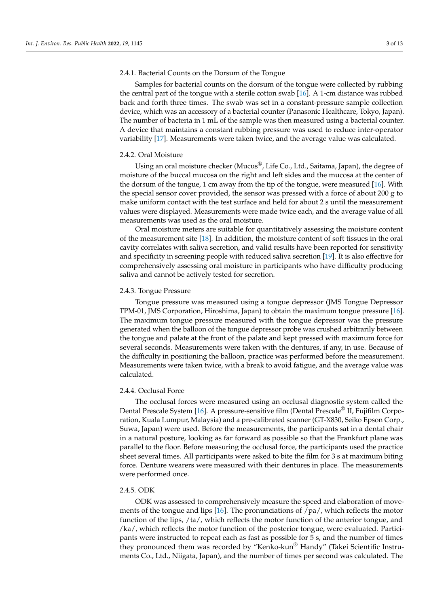## 2.4.1. Bacterial Counts on the Dorsum of the Tongue

Samples for bacterial counts on the dorsum of the tongue were collected by rubbing the central part of the tongue with a sterile cotton swab [\[16\]](#page-10-14). A 1-cm distance was rubbed back and forth three times. The swab was set in a constant-pressure sample collection device, which was an accessory of a bacterial counter (Panasonic Healthcare, Tokyo, Japan). The number of bacteria in 1 mL of the sample was then measured using a bacterial counter. A device that maintains a constant rubbing pressure was used to reduce inter-operator variability [\[17\]](#page-11-0). Measurements were taken twice, and the average value was calculated.

#### 2.4.2. Oral Moisture

Using an oral moisture checker (Mucus®, Life Co., Ltd., Saitama, Japan), the degree of moisture of the buccal mucosa on the right and left sides and the mucosa at the center of the dorsum of the tongue, 1 cm away from the tip of the tongue, were measured [\[16\]](#page-10-14). With the special sensor cover provided, the sensor was pressed with a force of about 200 g to make uniform contact with the test surface and held for about 2 s until the measurement values were displayed. Measurements were made twice each, and the average value of all measurements was used as the oral moisture.

Oral moisture meters are suitable for quantitatively assessing the moisture content of the measurement site [\[18\]](#page-11-1). In addition, the moisture content of soft tissues in the oral cavity correlates with saliva secretion, and valid results have been reported for sensitivity and specificity in screening people with reduced saliva secretion [\[19\]](#page-11-2). It is also effective for comprehensively assessing oral moisture in participants who have difficulty producing saliva and cannot be actively tested for secretion.

## 2.4.3. Tongue Pressure

Tongue pressure was measured using a tongue depressor (JMS Tongue Depressor TPM-01, JMS Corporation, Hiroshima, Japan) to obtain the maximum tongue pressure [\[16\]](#page-10-14). The maximum tongue pressure measured with the tongue depressor was the pressure generated when the balloon of the tongue depressor probe was crushed arbitrarily between the tongue and palate at the front of the palate and kept pressed with maximum force for several seconds. Measurements were taken with the dentures, if any, in use. Because of the difficulty in positioning the balloon, practice was performed before the measurement. Measurements were taken twice, with a break to avoid fatigue, and the average value was calculated.

## 2.4.4. Occlusal Force

The occlusal forces were measured using an occlusal diagnostic system called the Dental Prescale System [\[16\]](#page-10-14). A pressure-sensitive film (Dental Prescale® II, Fujifilm Corporation, Kuala Lumpur, Malaysia) and a pre-calibrated scanner (GT-X830, Seiko Epson Corp., Suwa, Japan) were used. Before the measurements, the participants sat in a dental chair in a natural posture, looking as far forward as possible so that the Frankfurt plane was parallel to the floor. Before measuring the occlusal force, the participants used the practice sheet several times. All participants were asked to bite the film for 3 s at maximum biting force. Denture wearers were measured with their dentures in place. The measurements were performed once.

#### 2.4.5. ODK

ODK was assessed to comprehensively measure the speed and elaboration of movements of the tongue and lips [\[16\]](#page-10-14). The pronunciations of /pa/, which reflects the motor function of the lips, /ta/, which reflects the motor function of the anterior tongue, and /ka/, which reflects the motor function of the posterior tongue, were evaluated. Participants were instructed to repeat each as fast as possible for 5 s, and the number of times they pronounced them was recorded by "Kenko-kun® Handy" (Takei Scientific Instruments Co., Ltd., Niigata, Japan), and the number of times per second was calculated. The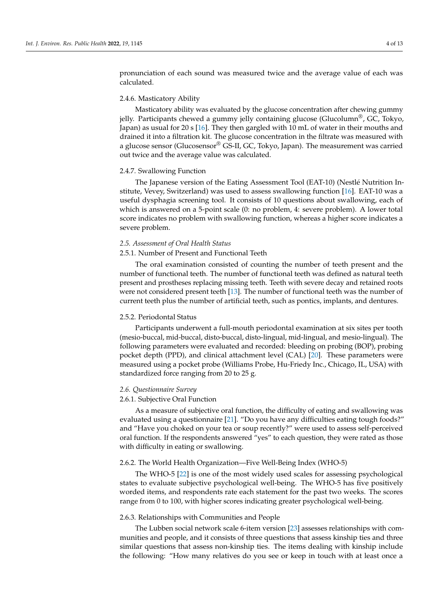pronunciation of each sound was measured twice and the average value of each was calculated.

#### 2.4.6. Masticatory Ability

Masticatory ability was evaluated by the glucose concentration after chewing gummy jelly. Participants chewed a gummy jelly containing glucose (Glucolumn<sup>®</sup>, GC, Tokyo, Japan) as usual for 20 s [\[16\]](#page-10-14). They then gargled with 10 mL of water in their mouths and drained it into a filtration kit. The glucose concentration in the filtrate was measured with a glucose sensor (Glucosensor® GS-II, GC, Tokyo, Japan). The measurement was carried out twice and the average value was calculated.

#### 2.4.7. Swallowing Function

The Japanese version of the Eating Assessment Tool (EAT-10) (Nestlé Nutrition Institute, Vevey, Switzerland) was used to assess swallowing function [\[16\]](#page-10-14). EAT-10 was a useful dysphagia screening tool. It consists of 10 questions about swallowing, each of which is answered on a 5-point scale (0: no problem, 4: severe problem). A lower total score indicates no problem with swallowing function, whereas a higher score indicates a severe problem.

## *2.5. Assessment of Oral Health Status*

## 2.5.1. Number of Present and Functional Teeth

The oral examination consisted of counting the number of teeth present and the number of functional teeth. The number of functional teeth was defined as natural teeth present and prostheses replacing missing teeth. Teeth with severe decay and retained roots were not considered present teeth [\[13\]](#page-10-11). The number of functional teeth was the number of current teeth plus the number of artificial teeth, such as pontics, implants, and dentures.

#### 2.5.2. Periodontal Status

Participants underwent a full-mouth periodontal examination at six sites per tooth (mesio-buccal, mid-buccal, disto-buccal, disto-lingual, mid-lingual, and mesio-lingual). The following parameters were evaluated and recorded: bleeding on probing (BOP), probing pocket depth (PPD), and clinical attachment level (CAL) [\[20\]](#page-11-3). These parameters were measured using a pocket probe (Williams Probe, Hu-Friedy Inc., Chicago, IL, USA) with standardized force ranging from 20 to 25 g.

## *2.6. Questionnaire Survey*

## 2.6.1. Subjective Oral Function

As a measure of subjective oral function, the difficulty of eating and swallowing was evaluated using a questionnaire [\[21\]](#page-11-4). "Do you have any difficulties eating tough foods?" and "Have you choked on your tea or soup recently?" were used to assess self-perceived oral function. If the respondents answered "yes" to each question, they were rated as those with difficulty in eating or swallowing.

# 2.6.2. The World Health Organization—Five Well-Being Index (WHO-5)

The WHO-5 [\[22\]](#page-11-5) is one of the most widely used scales for assessing psychological states to evaluate subjective psychological well-being. The WHO-5 has five positively worded items, and respondents rate each statement for the past two weeks. The scores range from 0 to 100, with higher scores indicating greater psychological well-being.

#### 2.6.3. Relationships with Communities and People

The Lubben social network scale 6-item version [\[23\]](#page-11-6) assesses relationships with communities and people, and it consists of three questions that assess kinship ties and three similar questions that assess non-kinship ties. The items dealing with kinship include the following: "How many relatives do you see or keep in touch with at least once a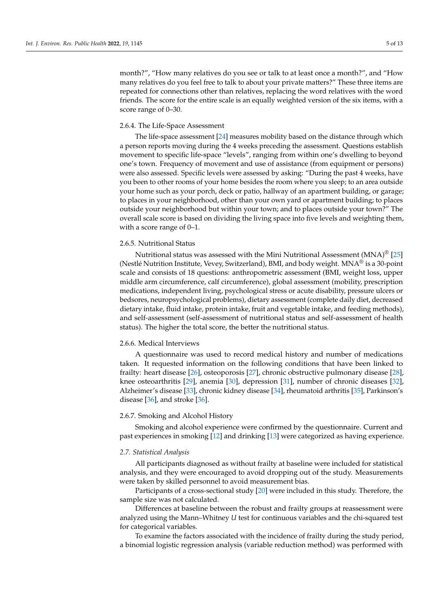month?", "How many relatives do you see or talk to at least once a month?", and "How many relatives do you feel free to talk to about your private matters?" These three items are repeated for connections other than relatives, replacing the word relatives with the word friends. The score for the entire scale is an equally weighted version of the six items, with a score range of 0–30.

## 2.6.4. The Life-Space Assessment

The life-space assessment [\[24\]](#page-11-7) measures mobility based on the distance through which a person reports moving during the 4 weeks preceding the assessment. Questions establish movement to specific life-space "levels", ranging from within one's dwelling to beyond one's town. Frequency of movement and use of assistance (from equipment or persons) were also assessed. Specific levels were assessed by asking: "During the past 4 weeks, have you been to other rooms of your home besides the room where you sleep; to an area outside your home such as your porch, deck or patio, hallway of an apartment building, or garage; to places in your neighborhood, other than your own yard or apartment building; to places outside your neighborhood but within your town; and to places outside your town?" The overall scale score is based on dividing the living space into five levels and weighting them, with a score range of 0–1.

## 2.6.5. Nutritional Status

Nutritional status was assessed with the Mini Nutritional Assessment  $(MNA)^{\circledcirc}$  [\[25\]](#page-11-8) (Nestlé Nutrition Institute, Vevey, Switzerland), BMI, and body weight. MNA® is a 30-point scale and consists of 18 questions: anthropometric assessment (BMI, weight loss, upper middle arm circumference, calf circumference), global assessment (mobility, prescription medications, independent living, psychological stress or acute disability, pressure ulcers or bedsores, neuropsychological problems), dietary assessment (complete daily diet, decreased dietary intake, fluid intake, protein intake, fruit and vegetable intake, and feeding methods), and self-assessment (self-assessment of nutritional status and self-assessment of health status). The higher the total score, the better the nutritional status.

#### 2.6.6. Medical Interviews

A questionnaire was used to record medical history and number of medications taken. It requested information on the following conditions that have been linked to frailty: heart disease [\[26\]](#page-11-9), osteoporosis [\[27\]](#page-11-10), chronic obstructive pulmonary disease [\[28\]](#page-11-11), knee osteoarthritis [\[29\]](#page-11-12), anemia [\[30\]](#page-11-13), depression [\[31\]](#page-11-14), number of chronic diseases [\[32\]](#page-11-15), Alzheimer's disease [\[33\]](#page-11-16), chronic kidney disease [\[34\]](#page-11-17), rheumatoid arthritis [\[35\]](#page-11-18), Parkinson's disease [\[36\]](#page-11-19), and stroke [\[36\]](#page-11-19).

## 2.6.7. Smoking and Alcohol History

Smoking and alcohol experience were confirmed by the questionnaire. Current and past experiences in smoking [\[12\]](#page-10-9) and drinking [\[13\]](#page-10-11) were categorized as having experience.

#### *2.7. Statistical Analysis*

All participants diagnosed as without frailty at baseline were included for statistical analysis, and they were encouraged to avoid dropping out of the study. Measurements were taken by skilled personnel to avoid measurement bias.

Participants of a cross-sectional study [\[20\]](#page-11-3) were included in this study. Therefore, the sample size was not calculated.

Differences at baseline between the robust and frailty groups at reassessment were analyzed using the Mann–Whitney *U* test for continuous variables and the chi-squared test for categorical variables.

To examine the factors associated with the incidence of frailty during the study period, a binomial logistic regression analysis (variable reduction method) was performed with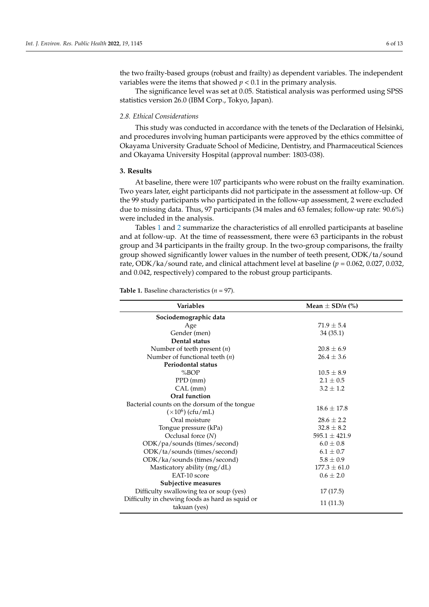the two frailty-based groups (robust and frailty) as dependent variables. The independent variables were the items that showed  $p < 0.1$  in the primary analysis.

The significance level was set at 0.05. Statistical analysis was performed using SPSS statistics version 26.0 (IBM Corp., Tokyo, Japan).

#### *2.8. Ethical Considerations*

This study was conducted in accordance with the tenets of the Declaration of Helsinki, and procedures involving human participants were approved by the ethics committee of Okayama University Graduate School of Medicine, Dentistry, and Pharmaceutical Sciences and Okayama University Hospital (approval number: 1803-038).

## **3. Results**

At baseline, there were 107 participants who were robust on the frailty examination. Two years later, eight participants did not participate in the assessment at follow-up. Of the 99 study participants who participated in the follow-up assessment, 2 were excluded due to missing data. Thus, 97 participants (34 males and 63 females; follow-up rate: 90.6%) were included in the analysis.

Tables [1](#page-6-0) and [2](#page-7-0) summarize the characteristics of all enrolled participants at baseline and at follow-up. At the time of reassessment, there were 63 participants in the robust group and 34 participants in the frailty group. In the two-group comparisons, the frailty group showed significantly lower values in the number of teeth present, ODK/ta/sound rate, ODK/ka/sound rate, and clinical attachment level at baseline (*p* = 0.062, 0.027, 0.032, and 0.042, respectively) compared to the robust group participants.

| <b>Variables</b>                                | Mean $\pm$ SD/n (%) |
|-------------------------------------------------|---------------------|
| Sociodemographic data                           |                     |
| Age                                             | $71.9 \pm 5.4$      |
| Gender (men)                                    | 34(35.1)            |
| Dental status                                   |                     |
| Number of teeth present $(n)$                   | $20.8 \pm 6.9$      |
| Number of functional teeth $(n)$                | $26.4 \pm 3.6$      |
| <b>Periodontal status</b>                       |                     |
| %BOP                                            | $10.5 \pm 8.9$      |
| $PPD$ (mm)                                      | $2.1 \pm 0.5$       |
| CAL (mm)                                        | $3.2 \pm 1.2$       |
| Oral function                                   |                     |
| Bacterial counts on the dorsum of the tongue    | $18.6 \pm 17.8$     |
| $(\times 10^6)$ (cfu/mL)                        |                     |
| Oral moisture                                   | $28.6 \pm 2.2$      |
| Tongue pressure (kPa)                           | $32.8 \pm 8.2$      |
| Occlusal force $(N)$                            | $595.1 \pm 421.9$   |
| ODK/pa/sounds (times/second)                    | $6.0 \pm 0.8$       |
| ODK/ta/sounds (times/second)                    | $6.1 \pm 0.7$       |
| ODK/ka/sounds (times/second)                    | $5.8 \pm 0.9$       |
| Masticatory ability $(mg/dL)$                   | $177.3 \pm 61.0$    |
| EAT-10 score                                    | $0.6 \pm 2.0$       |
| Subjective measures                             |                     |
| Difficulty swallowing tea or soup (yes)         | 17(17.5)            |
| Difficulty in chewing foods as hard as squid or |                     |
| takuan (yes)                                    | 11 (11.3)           |

**Table 1.** Baseline characteristics (*n* = 97).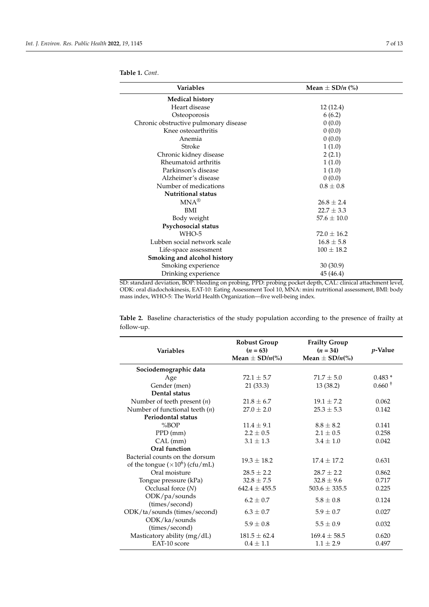| <b>Variables</b>                      | Mean $\pm$ SD/ <i>n</i> (%) |
|---------------------------------------|-----------------------------|
| <b>Medical history</b>                |                             |
| Heart disease                         | 12(12.4)                    |
| Osteoporosis                          | 6(6.2)                      |
| Chronic obstructive pulmonary disease | 0(0.0)                      |
| Knee osteoarthritis                   | 0(0.0)                      |
| Anemia                                | 0(0.0)                      |
| Stroke                                | 1(1.0)                      |
| Chronic kidney disease                | 2(2.1)                      |
| Rheumatoid arthritis                  | 1(1.0)                      |
| Parkinson's disease                   | 1(1.0)                      |
| Alzheimer's disease                   | 0(0.0)                      |
| Number of medications                 | $0.8 \pm 0.8$               |
| <b>Nutritional status</b>             |                             |
| $MNA^{\circledR}$                     | $26.8 \pm 2.4$              |
| <b>BMI</b>                            | $22.7 \pm 3.3$              |
| Body weight                           | $57.6 \pm 10.0$             |
| Psychosocial status                   |                             |
| WHO-5                                 | $72.0 \pm 16.2$             |
| Lubben social network scale           | $16.8 \pm 5.8$              |
| Life-space assessment                 | $100 \pm 18.2$              |
| Smoking and alcohol history           |                             |
| Smoking experience                    | 30 (30.9)                   |
| Drinking experience                   | 45 (46.4)                   |

<span id="page-6-0"></span>**Table 1.** *Cont*.

 $\sim$  $\overline{\phantom{m}}$ 

SD: standard deviation, BOP: bleeding on probing, PPD: probing pocket depth, CAL: clinical attachment level, ODK: oral diadochokinesis, EAT-10: Eating Assessment Tool 10, MNA: mini nutritional assessment, BMI: body mass index, WHO-5: The World Health Organization—five well-being index.

**Table 2.** Baseline characteristics of the study population according to the presence of frailty at follow-up.

| <b>Variables</b>                                                         | <b>Robust Group</b><br>$(n = 63)$<br>Mean $\pm$ SD/n(%) | <b>Frailty Group</b><br>$(n = 34)$<br>Mean $\pm$ SD/n(%) | p-Value   |
|--------------------------------------------------------------------------|---------------------------------------------------------|----------------------------------------------------------|-----------|
| Sociodemographic data                                                    |                                                         |                                                          |           |
| Age                                                                      | $72.1 + 5.7$                                            | $71.7 + 5.0$                                             | $0.483*$  |
| Gender (men)                                                             | 21(33.3)                                                | 13 (38.2)                                                | $0.660 +$ |
| Dental status                                                            |                                                         |                                                          |           |
| Number of teeth present $(n)$                                            | $21.8 \pm 6.7$                                          | $19.1 + 7.2$                                             | 0.062     |
| Number of functional teeth $(n)$                                         | $27.0 \pm 2.0$                                          | $25.3 \pm 5.3$                                           | 0.142     |
| <b>Periodontal status</b>                                                |                                                         |                                                          |           |
| %BOP                                                                     | $11.4 \pm 9.1$                                          | $8.8 \pm 8.2$                                            | 0.141     |
| PPD (mm)                                                                 | $2.2 \pm 0.5$                                           | $2.1 \pm 0.5$                                            | 0.258     |
| $CAL$ (mm)                                                               | $3.1 \pm 1.3$                                           | $3.4 + 1.0$                                              | 0.042     |
| Oral function                                                            |                                                         |                                                          |           |
| Bacterial counts on the dorsum<br>of the tongue $(\times 10^6)$ (cfu/mL) | $19.3 \pm 18.2$                                         | $17.4 + 17.2$                                            | 0.631     |
| Oral moisture                                                            | $28.5 \pm 2.2$                                          | $28.7 + 2.2$                                             | 0.862     |
| Tongue pressure (kPa)                                                    | $32.8 \pm 7.5$                                          | $32.8 \pm 9.6$                                           | 0.717     |
| Occlusal force $(N)$                                                     | $642.4 \pm 455.5$                                       | $503.6 \pm 335.5$                                        | 0.225     |
| ODK/pa/sounds<br>(times/second)                                          | $6.2 + 0.7$                                             | $5.8 \pm 0.8$                                            | 0.124     |
| ODK/ta/sounds (times/second)                                             | $6.3 \pm 0.7$                                           | $5.9 \pm 0.7$                                            | 0.027     |
| ODK/ka/sounds<br>(times/second)                                          | $5.9 \pm 0.8$                                           | $5.5 \pm 0.9$                                            | 0.032     |
| Masticatory ability (mg/dL)                                              | $181.5 \pm 62.4$                                        | $169.4 \pm 58.5$                                         | 0.620     |
| EAT-10 score                                                             | $0.4 \pm 1.1$                                           | $1.1 \pm 2.9$                                            | 0.497     |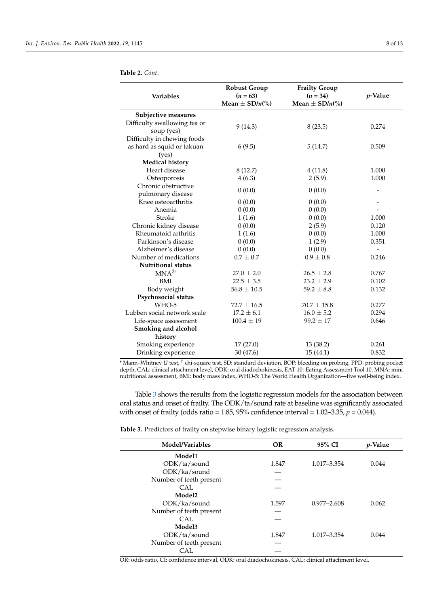| <b>Variables</b>                           | <b>Robust Group</b><br>$(n = 63)$<br>Mean $\pm$ SD/n(%) | <b>Frailty Group</b><br>$(n = 34)$<br>Mean $\pm$ SD/n(%) | <i>p</i> -Value |
|--------------------------------------------|---------------------------------------------------------|----------------------------------------------------------|-----------------|
| Subjective measures                        |                                                         |                                                          |                 |
| Difficulty swallowing tea or<br>soup (yes) | 9(14.3)                                                 | 8(23.5)                                                  | 0.274           |
| Difficulty in chewing foods                |                                                         |                                                          |                 |
| as hard as squid or takuan<br>(yes)        | 6(9.5)                                                  | 5(14.7)                                                  | 0.509           |
| <b>Medical history</b>                     |                                                         |                                                          |                 |
| Heart disease                              | 8(12.7)                                                 | 4(11.8)                                                  | 1.000           |
| Osteoporosis                               | 4(6.3)                                                  | 2(5.9)                                                   | 1.000           |
| Chronic obstructive<br>pulmonary disease   | 0(0.0)                                                  | 0(0.0)                                                   |                 |
| Knee osteoarthritis                        | 0(0.0)                                                  | 0(0.0)                                                   |                 |
| Anemia                                     | 0(0.0)                                                  | 0(0.0)                                                   |                 |
| Stroke                                     | 1(1.6)                                                  | 0(0.0)                                                   | 1.000           |
| Chronic kidney disease                     | 0(0.0)                                                  | 2(5.9)                                                   | 0.120           |
| Rheumatoid arthritis                       | 1(1.6)                                                  | 0(0.0)                                                   | 1.000           |
| Parkinson's disease                        | 0(0.0)                                                  | 1(2.9)                                                   | 0.351           |
| Alzheimer's disease                        | 0(0.0)                                                  | 0(0.0)                                                   |                 |
| Number of medications                      | $0.7 \pm 0.7$                                           | $0.9 \pm 0.8$                                            | 0.246           |
| <b>Nutritional status</b>                  |                                                         |                                                          |                 |
| $MNA^{\circledR}$                          | $27.0 \pm 2.0$                                          | $26.5 \pm 2.8$                                           | 0.767           |
| BMI                                        | $22.5 \pm 3.5$                                          | $23.2 \pm 2.9$                                           | 0.102           |

<span id="page-7-0"></span>

|  | <b>Table 2.</b> Cont. |  |
|--|-----------------------|--|
|  |                       |  |
|  |                       |  |
|  |                       |  |
|  |                       |  |
|  |                       |  |
|  |                       |  |
|  |                       |  |
|  |                       |  |
|  |                       |  |
|  |                       |  |
|  |                       |  |
|  |                       |  |
|  |                       |  |

**Psychosocial status**

**Smoking and alcohol history**

Drinking experience

\* Mann–Whitney *U* test, † chi-square test, SD: standard deviation, BOP: bleeding on probing, PPD: probing pocket depth, CAL: clinical attachment level, ODK: oral diadochokinesis, EAT-10: Eating Assessment Tool 10, MNA: mini nutritional assessment, BMI: body mass index, WHO-5: The World Health Organization—five well-being index.

Smoking experience  $\begin{array}{cccc}\n 17 & (27.0) & 13 & (38.2) & 0.261 \\
\text{Drinking experience} & 30 & (47.6) & 15 & (44.1) & 0.832\n \end{array}$ 

Body weight  $56.8 \pm 10.5$   $59.2 \pm 8.8$  0.132

Lubben social network scale  $17.2 \pm 6.1$   $16.0 \pm 5.2$  0.294 Life-space assessment  $100.4 \pm 19$  99.2  $\pm$  17 0.646

WHO-5  $72.7 \pm 16.5$   $70.7 \pm 15.8$  0.277

Table [3](#page-7-1) shows the results from the logistic regression models for the association between oral status and onset of frailty. The ODK/ta/sound rate at baseline was significantly associated with onset of frailty (odds ratio = 1.85, 95% confidence interval = 1.02–3.35, *p* = 0.044).

<span id="page-7-1"></span>**Table 3.** Predictors of frailty on stepwise binary logistic regression analysis.

| Model/Variables         | <b>OR</b> | 95% CI          | <i>v</i> -Value |
|-------------------------|-----------|-----------------|-----------------|
| Model1                  |           |                 |                 |
| ODK/ta/sound            | 1.847     | 1.017-3.354     | 0.044           |
| ODK/ka/sound            |           |                 |                 |
| Number of teeth present |           |                 |                 |
| CAL.                    |           |                 |                 |
| Model <sub>2</sub>      |           |                 |                 |
| ODK/ka/sound            | 1.597     | $0.977 - 2.608$ | 0.062           |
| Number of teeth present |           |                 |                 |
| CAL                     |           |                 |                 |
| Model3                  |           |                 |                 |
| ODK/ta/sound            | 1.847     | 1.017-3.354     | 0.044           |
| Number of teeth present |           |                 |                 |
| CAL                     |           |                 |                 |

OR: odds ratio, CI: confidence interval, ODK: oral diadochokinesis, CAL: clinical attachment level.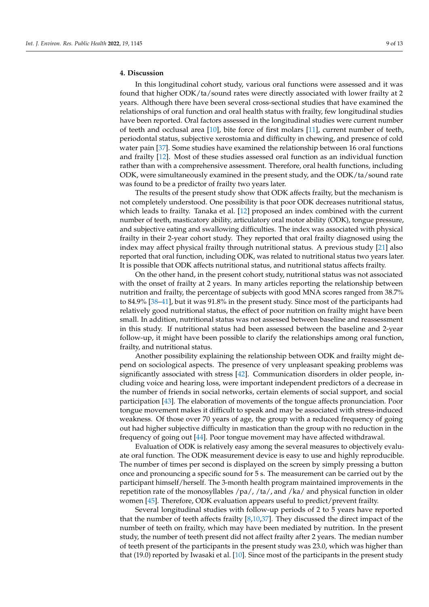# **4. Discussion**

In this longitudinal cohort study, various oral functions were assessed and it was found that higher ODK/ta/sound rates were directly associated with lower frailty at 2 years. Although there have been several cross-sectional studies that have examined the relationships of oral function and oral health status with frailty, few longitudinal studies have been reported. Oral factors assessed in the longitudinal studies were current number of teeth and occlusal area [\[10\]](#page-10-15), bite force of first molars [\[11\]](#page-10-10), current number of teeth, periodontal status, subjective xerostomia and difficulty in chewing, and presence of cold water pain [\[37\]](#page-11-20). Some studies have examined the relationship between 16 oral functions and frailty [\[12\]](#page-10-9). Most of these studies assessed oral function as an individual function rather than with a comprehensive assessment. Therefore, oral health functions, including ODK, were simultaneously examined in the present study, and the ODK/ta/sound rate was found to be a predictor of frailty two years later.

The results of the present study show that ODK affects frailty, but the mechanism is not completely understood. One possibility is that poor ODK decreases nutritional status, which leads to frailty. Tanaka et al. [\[12\]](#page-10-9) proposed an index combined with the current number of teeth, masticatory ability, articulatory oral motor ability (ODK), tongue pressure, and subjective eating and swallowing difficulties. The index was associated with physical frailty in their 2-year cohort study. They reported that oral frailty diagnosed using the index may affect physical frailty through nutritional status. A previous study [\[21\]](#page-11-4) also reported that oral function, including ODK, was related to nutritional status two years later. It is possible that ODK affects nutritional status, and nutritional status affects frailty.

On the other hand, in the present cohort study, nutritional status was not associated with the onset of frailty at 2 years. In many articles reporting the relationship between nutrition and frailty, the percentage of subjects with good MNA scores ranged from 38.7% to 84.9% [\[38](#page-11-21)[–41\]](#page-12-0), but it was 91.8% in the present study. Since most of the participants had relatively good nutritional status, the effect of poor nutrition on frailty might have been small. In addition, nutritional status was not assessed between baseline and reassessment in this study. If nutritional status had been assessed between the baseline and 2-year follow-up, it might have been possible to clarify the relationships among oral function, frailty, and nutritional status.

Another possibility explaining the relationship between ODK and frailty might depend on sociological aspects. The presence of very unpleasant speaking problems was significantly associated with stress [\[42\]](#page-12-1). Communication disorders in older people, including voice and hearing loss, were important independent predictors of a decrease in the number of friends in social networks, certain elements of social support, and social participation [\[43\]](#page-12-2). The elaboration of movements of the tongue affects pronunciation. Poor tongue movement makes it difficult to speak and may be associated with stress-induced weakness. Of those over 70 years of age, the group with a reduced frequency of going out had higher subjective difficulty in mastication than the group with no reduction in the frequency of going out [\[44\]](#page-12-3). Poor tongue movement may have affected withdrawal.

Evaluation of ODK is relatively easy among the several measures to objectively evaluate oral function. The ODK measurement device is easy to use and highly reproducible. The number of times per second is displayed on the screen by simply pressing a button once and pronouncing a specific sound for 5 s. The measurement can be carried out by the participant himself/herself. The 3-month health program maintained improvements in the repetition rate of the monosyllables /pa/, /ta/, and /ka/ and physical function in older women [\[45\]](#page-12-4). Therefore, ODK evaluation appears useful to predict/prevent frailty.

Several longitudinal studies with follow-up periods of 2 to 5 years have reported that the number of teeth affects frailty [\[8,](#page-10-7)[10,](#page-10-15)[37\]](#page-11-20). They discussed the direct impact of the number of teeth on frailty, which may have been mediated by nutrition. In the present study, the number of teeth present did not affect frailty after 2 years. The median number of teeth present of the participants in the present study was 23.0, which was higher than that (19.0) reported by Iwasaki et al. [\[10\]](#page-10-15). Since most of the participants in the present study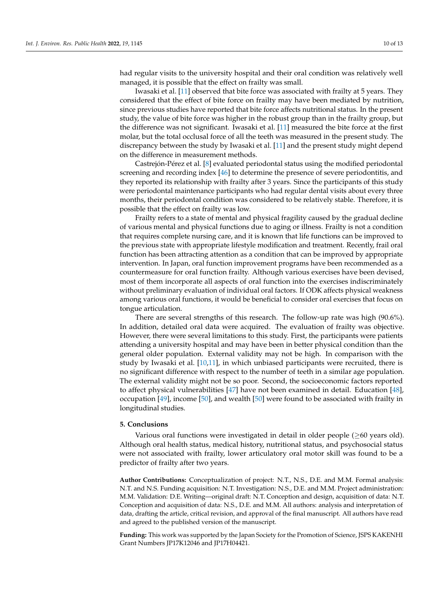had regular visits to the university hospital and their oral condition was relatively well managed, it is possible that the effect on frailty was small.

Iwasaki et al. [\[11\]](#page-10-10) observed that bite force was associated with frailty at 5 years. They considered that the effect of bite force on frailty may have been mediated by nutrition, since previous studies have reported that bite force affects nutritional status. In the present study, the value of bite force was higher in the robust group than in the frailty group, but the difference was not significant. Iwasaki et al. [\[11\]](#page-10-10) measured the bite force at the first molar, but the total occlusal force of all the teeth was measured in the present study. The discrepancy between the study by Iwasaki et al. [\[11\]](#page-10-10) and the present study might depend on the difference in measurement methods.

Castrejón-Pérez et al. [\[8\]](#page-10-7) evaluated periodontal status using the modified periodontal screening and recording index [\[46\]](#page-12-5) to determine the presence of severe periodontitis, and they reported its relationship with frailty after 3 years. Since the participants of this study were periodontal maintenance participants who had regular dental visits about every three months, their periodontal condition was considered to be relatively stable. Therefore, it is possible that the effect on frailty was low.

Frailty refers to a state of mental and physical fragility caused by the gradual decline of various mental and physical functions due to aging or illness. Frailty is not a condition that requires complete nursing care, and it is known that life functions can be improved to the previous state with appropriate lifestyle modification and treatment. Recently, frail oral function has been attracting attention as a condition that can be improved by appropriate intervention. In Japan, oral function improvement programs have been recommended as a countermeasure for oral function frailty. Although various exercises have been devised, most of them incorporate all aspects of oral function into the exercises indiscriminately without preliminary evaluation of individual oral factors. If ODK affects physical weakness among various oral functions, it would be beneficial to consider oral exercises that focus on tongue articulation.

There are several strengths of this research. The follow-up rate was high (90.6%). In addition, detailed oral data were acquired. The evaluation of frailty was objective. However, there were several limitations to this study. First, the participants were patients attending a university hospital and may have been in better physical condition than the general older population. External validity may not be high. In comparison with the study by Iwasaki et al. [\[10,](#page-10-15)[11\]](#page-10-10), in which unbiased participants were recruited, there is no significant difference with respect to the number of teeth in a similar age population. The external validity might not be so poor. Second, the socioeconomic factors reported to affect physical vulnerabilities [\[47\]](#page-12-6) have not been examined in detail. Education [\[48\]](#page-12-7), occupation [\[49\]](#page-12-8), income [\[50\]](#page-12-9), and wealth [\[50\]](#page-12-9) were found to be associated with frailty in longitudinal studies.

#### **5. Conclusions**

Various oral functions were investigated in detail in older people ( $\geq 60$  years old). Although oral health status, medical history, nutritional status, and psychosocial status were not associated with frailty, lower articulatory oral motor skill was found to be a predictor of frailty after two years.

**Author Contributions:** Conceptualization of project: N.T., N.S., D.E. and M.M. Formal analysis: N.T. and N.S. Funding acquisition: N.T. Investigation: N.S., D.E. and M.M. Project administration: M.M. Validation: D.E. Writing—original draft: N.T. Conception and design, acquisition of data: N.T. Conception and acquisition of data: N.S., D.E. and M.M. All authors: analysis and interpretation of data, drafting the article, critical revision, and approval of the final manuscript. All authors have read and agreed to the published version of the manuscript.

**Funding:** This work was supported by the Japan Society for the Promotion of Science, JSPS KAKENHI Grant Numbers JP17K12046 and JP17H04421.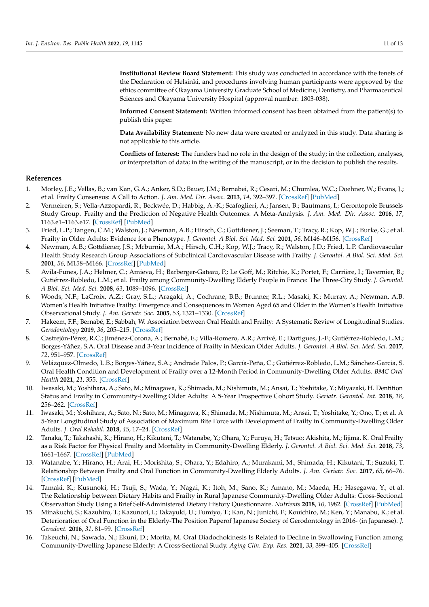**Institutional Review Board Statement:** This study was conducted in accordance with the tenets of the Declaration of Helsinki, and procedures involving human participants were approved by the ethics committee of Okayama University Graduate School of Medicine, Dentistry, and Pharmaceutical Sciences and Okayama University Hospital (approval number: 1803-038).

**Informed Consent Statement:** Written informed consent has been obtained from the patient(s) to publish this paper.

**Data Availability Statement:** No new data were created or analyzed in this study. Data sharing is not applicable to this article.

**Conflicts of Interest:** The funders had no role in the design of the study; in the collection, analyses, or interpretation of data; in the writing of the manuscript, or in the decision to publish the results.

## **References**

- <span id="page-10-0"></span>1. Morley, J.E.; Vellas, B.; van Kan, G.A.; Anker, S.D.; Bauer, J.M.; Bernabei, R.; Cesari, M.; Chumlea, W.C.; Doehner, W.; Evans, J.; et al. Frailty Consensus: A Call to Action. *J. Am. Med. Dir. Assoc.* **2013**, *14*, 392–397. [\[CrossRef\]](http://doi.org/10.1016/j.jamda.2013.03.022) [\[PubMed\]](http://www.ncbi.nlm.nih.gov/pubmed/23764209)
- <span id="page-10-1"></span>2. Vermeiren, S.; Vella-Azzopardi, R.; Beckwée, D.; Habbig, A.-K.; Scafoglieri, A.; Jansen, B.; Bautmans, I.; Gerontopole Brussels Study Group. Frailty and the Prediction of Negative Health Outcomes: A Meta-Analysis. *J. Am. Med. Dir. Assoc.* **2016**, *17*, 1163.e1–1163.e17. [\[CrossRef\]](http://doi.org/10.1016/j.jamda.2016.09.010) [\[PubMed\]](http://www.ncbi.nlm.nih.gov/pubmed/27886869)
- <span id="page-10-2"></span>3. Fried, L.P.; Tangen, C.M.; Walston, J.; Newman, A.B.; Hirsch, C.; Gottdiener, J.; Seeman, T.; Tracy, R.; Kop, W.J.; Burke, G.; et al. Frailty in Older Adults: Evidence for a Phenotype. *J. Gerontol. A Biol. Sci. Med. Sci.* **2001**, *56*, M146–M156. [\[CrossRef\]](http://doi.org/10.1093/gerona/56.3.M146)
- <span id="page-10-3"></span>4. Newman, A.B.; Gottdiener, J.S.; Mcburnie, M.A.; Hirsch, C.H.; Kop, W.J.; Tracy, R.; Walston, J.D.; Fried, L.P. Cardiovascular Health Study Research Group Associations of Subclinical Cardiovascular Disease with Frailty. *J. Gerontol. A Biol. Sci. Med. Sci.* **2001**, *56*, M158–M166. [\[CrossRef\]](http://doi.org/10.1093/gerona/56.3.M158) [\[PubMed\]](http://www.ncbi.nlm.nih.gov/pubmed/11253157)
- <span id="page-10-4"></span>5. Avila-Funes, J.A.; Helmer, C.; Amieva, H.; Barberger-Gateau, P.; Le Goff, M.; Ritchie, K.; Portet, F.; Carrière, I.; Tavernier, B.; Gutiérrez-Robledo, L.M.; et al. Frailty among Community-Dwelling Elderly People in France: The Three-City Study. *J. Gerontol. A Biol. Sci. Med. Sci.* **2008**, *63*, 1089–1096. [\[CrossRef\]](http://doi.org/10.1093/gerona/63.10.1089)
- <span id="page-10-5"></span>6. Woods, N.F.; LaCroix, A.Z.; Gray, S.L.; Aragaki, A.; Cochrane, B.B.; Brunner, R.L.; Masaki, K.; Murray, A.; Newman, A.B. Women's Health Initiative Frailty: Emergence and Consequences in Women Aged 65 and Older in the Women's Health Initiative Observational Study. *J. Am. Geriatr. Soc.* **2005**, *53*, 1321–1330. [\[CrossRef\]](http://doi.org/10.1111/j.1532-5415.2005.53405.x)
- <span id="page-10-6"></span>7. Hakeem, F.F.; Bernabé, E.; Sabbah, W. Association between Oral Health and Frailty: A Systematic Review of Longitudinal Studies. *Gerodontology* **2019**, *36*, 205–215. [\[CrossRef\]](http://doi.org/10.1111/ger.12406)
- <span id="page-10-7"></span>8. Castrejón-Pérez, R.C.; Jiménez-Corona, A.; Bernabé, E.; Villa-Romero, A.R.; Arrivé, E.; Dartigues, J.-F.; Gutiérrez-Robledo, L.M.; Borges-Yáñez, S.A. Oral Disease and 3-Year Incidence of Frailty in Mexican Older Adults. *J. Gerontol. A Biol. Sci. Med. Sci.* **2017**, *72*, 951–957. [\[CrossRef\]](http://doi.org/10.1093/gerona/glw201)
- <span id="page-10-8"></span>9. Velázquez-Olmedo, L.B.; Borges-Yáñez, S.A.; Andrade Palos, P.; García-Peña, C.; Gutiérrez-Robledo, L.M.; Sánchez-García, S. Oral Health Condition and Development of Frailty over a 12-Month Period in Community-Dwelling Older Adults. *BMC Oral Health* **2021**, *21*, 355. [\[CrossRef\]](http://doi.org/10.1186/s12903-021-01718-6)
- <span id="page-10-15"></span>10. Iwasaki, M.; Yoshihara, A.; Sato, M.; Minagawa, K.; Shimada, M.; Nishimuta, M.; Ansai, T.; Yoshitake, Y.; Miyazaki, H. Dentition Status and Frailty in Community-Dwelling Older Adults: A 5-Year Prospective Cohort Study. *Geriatr. Gerontol. Int.* **2018**, *18*, 256–262. [\[CrossRef\]](http://doi.org/10.1111/ggi.13170)
- <span id="page-10-10"></span>11. Iwasaki, M.; Yoshihara, A.; Sato, N.; Sato, M.; Minagawa, K.; Shimada, M.; Nishimuta, M.; Ansai, T.; Yoshitake, Y.; Ono, T.; et al. A 5-Year Longitudinal Study of Association of Maximum Bite Force with Development of Frailty in Community-Dwelling Older Adults. *J. Oral Rehabil.* **2018**, *45*, 17–24. [\[CrossRef\]](http://doi.org/10.1111/joor.12578)
- <span id="page-10-9"></span>12. Tanaka, T.; Takahashi, K.; Hirano, H.; Kikutani, T.; Watanabe, Y.; Ohara, Y.; Furuya, H.; Tetsuo; Akishita, M.; Iijima, K. Oral Frailty as a Risk Factor for Physical Frailty and Mortality in Community-Dwelling Elderly. *J. Gerontol. A Biol. Sci. Med. Sci.* **2018**, *73*, 1661–1667. [\[CrossRef\]](http://doi.org/10.1093/gerona/glx225) [\[PubMed\]](http://www.ncbi.nlm.nih.gov/pubmed/29161342)
- <span id="page-10-11"></span>13. Watanabe, Y.; Hirano, H.; Arai, H.; Morishita, S.; Ohara, Y.; Edahiro, A.; Murakami, M.; Shimada, H.; Kikutani, T.; Suzuki, T. Relationship Between Frailty and Oral Function in Community-Dwelling Elderly Adults. *J. Am. Geriatr. Soc.* **2017**, *65*, 66–76. [\[CrossRef\]](http://doi.org/10.1111/jgs.14355) [\[PubMed\]](http://www.ncbi.nlm.nih.gov/pubmed/27655106)
- <span id="page-10-12"></span>14. Tamaki, K.; Kusunoki, H.; Tsuji, S.; Wada, Y.; Nagai, K.; Itoh, M.; Sano, K.; Amano, M.; Maeda, H.; Hasegawa, Y.; et al. The Relationship between Dietary Habits and Frailty in Rural Japanese Community-Dwelling Older Adults: Cross-Sectional Observation Study Using a Brief Self-Administered Dietary History Questionnaire. *Nutrients* **2018**, *10*, 1982. [\[CrossRef\]](http://doi.org/10.3390/nu10121982) [\[PubMed\]](http://www.ncbi.nlm.nih.gov/pubmed/30558211)
- <span id="page-10-13"></span>15. Minakuchi, S.; Kazuhiro, T.; Kazunori, I.; Takayuki, U.; Fumiyo, T.; Kan, N.; Junichi, F.; Kouichiro, M.; Ken, Y.; Manabu, K.; et al. Deterioration of Oral Function in the Elderly-The Position Paperof Japanese Society of Gerodontology in 2016- (in Japanese). *J. Gerodont.* **2016**, *31*, 81–99. [\[CrossRef\]](http://doi.org/10.11259/jsg.31.81)
- <span id="page-10-14"></span>16. Takeuchi, N.; Sawada, N.; Ekuni, D.; Morita, M. Oral Diadochokinesis Is Related to Decline in Swallowing Function among Community-Dwelling Japanese Elderly: A Cross-Sectional Study. *Aging Clin. Exp. Res.* **2021**, *33*, 399–405. [\[CrossRef\]](http://doi.org/10.1007/s40520-020-01547-7)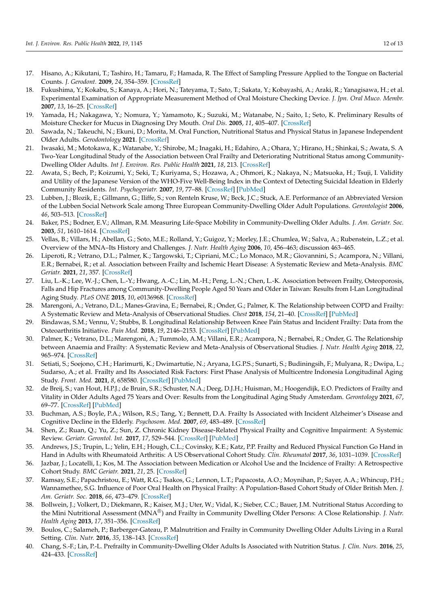- <span id="page-11-0"></span>17. Hisano, A.; Kikutani, T.; Tashiro, H.; Tamaru, F.; Hamada, R. The Effect of Sampling Pressure Applied to the Tongue on Bacterial Counts. *J. Gerodont.* **2009**, *24*, 354–359. [\[CrossRef\]](http://doi.org/10.11259/jsg.24.354)
- <span id="page-11-1"></span>18. Fukushima, Y.; Kokabu, S.; Kanaya, A.; Hori, N.; Tateyama, T.; Sato, T.; Sakata, Y.; Kobayashi, A.; Araki, R.; Yanagisawa, H.; et al. Experimental Examination of Appropriate Measurement Method of Oral Moisture Checking Device. *J. Jpn. Oral Muco. Membr.* **2007**, *13*, 16–25. [\[CrossRef\]](http://doi.org/10.6014/jjomm1995.13.16)
- <span id="page-11-2"></span>19. Yamada, H.; Nakagawa, Y.; Nomura, Y.; Yamamoto, K.; Suzuki, M.; Watanabe, N.; Saito, I.; Seto, K. Preliminary Results of Moisture Checker for Mucus in Diagnosing Dry Mouth. *Oral Dis.* **2005**, *11*, 405–407. [\[CrossRef\]](http://doi.org/10.1111/j.1601-0825.2005.01136.x)
- <span id="page-11-3"></span>20. Sawada, N.; Takeuchi, N.; Ekuni, D.; Morita, M. Oral Function, Nutritional Status and Physical Status in Japanese Independent Older Adults. *Gerodontology* **2021**. [\[CrossRef\]](http://doi.org/10.1111/ger.12593)
- <span id="page-11-4"></span>21. Iwasaki, M.; Motokawa, K.; Watanabe, Y.; Shirobe, M.; Inagaki, H.; Edahiro, A.; Ohara, Y.; Hirano, H.; Shinkai, S.; Awata, S. A Two-Year Longitudinal Study of the Association between Oral Frailty and Deteriorating Nutritional Status among Community-Dwelling Older Adults. *Int J. Environ. Res. Public Health* **2021**, *18*, 213. [\[CrossRef\]](http://doi.org/10.3390/ijerph18010213)
- <span id="page-11-5"></span>22. Awata, S.; Bech, P.; Koizumi, Y.; Seki, T.; Kuriyama, S.; Hozawa, A.; Ohmori, K.; Nakaya, N.; Matsuoka, H.; Tsuji, I. Validity and Utility of the Japanese Version of the WHO-Five Well-Being Index in the Context of Detecting Suicidal Ideation in Elderly Community Residents. *Int. Psychogeriatr.* **2007**, *19*, 77–88. [\[CrossRef\]](http://doi.org/10.1017/S1041610206004212) [\[PubMed\]](http://www.ncbi.nlm.nih.gov/pubmed/16970832)
- <span id="page-11-6"></span>23. Lubben, J.; Blozik, E.; Gillmann, G.; Iliffe, S.; von Renteln Kruse, W.; Beck, J.C.; Stuck, A.E. Performance of an Abbreviated Version of the Lubben Social Network Scale among Three European Community-Dwelling Older Adult Populations. *Gerontologist* **2006**, *46*, 503–513. [\[CrossRef\]](http://doi.org/10.1093/geront/46.4.503)
- <span id="page-11-7"></span>24. Baker, P.S.; Bodner, E.V.; Allman, R.M. Measuring Life-Space Mobility in Community-Dwelling Older Adults. *J. Am. Geriatr. Soc.* **2003**, *51*, 1610–1614. [\[CrossRef\]](http://doi.org/10.1046/j.1532-5415.2003.51512.x)
- <span id="page-11-8"></span>25. Vellas, B.; Villars, H.; Abellan, G.; Soto, M.E.; Rolland, Y.; Guigoz, Y.; Morley, J.E.; Chumlea, W.; Salva, A.; Rubenstein, L.Z.; et al. Overview of the MNA–Its History and Challenges. *J. Nutr. Health Aging* **2006**, *10*, 456–463; discussion 463–465.
- <span id="page-11-9"></span>26. Liperoti, R.; Vetrano, D.L.; Palmer, K.; Targowski, T.; Cipriani, M.C.; Lo Monaco, M.R.; Giovannini, S.; Acampora, N.; Villani, E.R.; Bernabei, R.; et al. Association between Frailty and Ischemic Heart Disease: A Systematic Review and Meta-Analysis. *BMC Geriatr.* **2021**, *21*, 357. [\[CrossRef\]](http://doi.org/10.1186/s12877-021-02304-9)
- <span id="page-11-10"></span>27. Liu, L.-K.; Lee, W.-J.; Chen, L.-Y.; Hwang, A.-C.; Lin, M.-H.; Peng, L.-N.; Chen, L.-K. Association between Frailty, Osteoporosis, Falls and Hip Fractures among Community-Dwelling People Aged 50 Years and Older in Taiwan: Results from I-Lan Longitudinal Aging Study. *PLoS ONE* **2015**, *10*, e0136968. [\[CrossRef\]](http://doi.org/10.1371/journal.pone.0136968)
- <span id="page-11-11"></span>28. Marengoni, A.; Vetrano, D.L.; Manes-Gravina, E.; Bernabei, R.; Onder, G.; Palmer, K. The Relationship between COPD and Frailty: A Systematic Review and Meta-Analysis of Observational Studies. *Chest* **2018**, *154*, 21–40. [\[CrossRef\]](http://doi.org/10.1016/j.chest.2018.02.014) [\[PubMed\]](http://www.ncbi.nlm.nih.gov/pubmed/29477493)
- <span id="page-11-12"></span>29. Bindawas, S.M.; Vennu, V.; Stubbs, B. Longitudinal Relationship Between Knee Pain Status and Incident Frailty: Data from the Osteoarthritis Initiative. *Pain Med.* **2018**, *19*, 2146–2153. [\[CrossRef\]](http://doi.org/10.1093/pm/pnx296) [\[PubMed\]](http://www.ncbi.nlm.nih.gov/pubmed/29206993)
- <span id="page-11-13"></span>30. Palmer, K.; Vetrano, D.L.; Marengoni, A.; Tummolo, A.M.; Villani, E.R.; Acampora, N.; Bernabei, R.; Onder, G. The Relationship between Anaemia and Frailty: A Systematic Review and Meta-Analysis of Observational Studies. *J. Nutr. Health Aging* **2018**, *22*, 965–974. [\[CrossRef\]](http://doi.org/10.1007/s12603-018-1049-x)
- <span id="page-11-14"></span>31. Setiati, S.; Soejono, C.H.; Harimurti, K.; Dwimartutie, N.; Aryana, I.G.P.S.; Sunarti, S.; Budiningsih, F.; Mulyana, R.; Dwipa, L.; Sudarso, A.; et al. Frailty and Its Associated Risk Factors: First Phase Analysis of Multicentre Indonesia Longitudinal Aging Study. *Front. Med.* **2021**, *8*, 658580. [\[CrossRef\]](http://doi.org/10.3389/fmed.2021.658580) [\[PubMed\]](http://www.ncbi.nlm.nih.gov/pubmed/33996862)
- <span id="page-11-15"></span>32. de Breij, S.; van Hout, H.P.J.; de Bruin, S.R.; Schuster, N.A.; Deeg, D.J.H.; Huisman, M.; Hoogendijk, E.O. Predictors of Frailty and Vitality in Older Adults Aged 75 Years and Over: Results from the Longitudinal Aging Study Amsterdam. *Gerontology* **2021**, *67*, 69–77. [\[CrossRef\]](http://doi.org/10.1159/000512049) [\[PubMed\]](http://www.ncbi.nlm.nih.gov/pubmed/33429387)
- <span id="page-11-16"></span>33. Buchman, A.S.; Boyle, P.A.; Wilson, R.S.; Tang, Y.; Bennett, D.A. Frailty Is Associated with Incident Alzheimer's Disease and Cognitive Decline in the Elderly. *Psychosom. Med.* **2007**, *69*, 483–489. [\[CrossRef\]](http://doi.org/10.1097/psy.0b013e318068de1d)
- <span id="page-11-17"></span>34. Shen, Z.; Ruan, Q.; Yu, Z.; Sun, Z. Chronic Kidney Disease-Related Physical Frailty and Cognitive Impairment: A Systemic Review. *Geriatr. Gerontol. Int.* **2017**, *17*, 529–544. [\[CrossRef\]](http://doi.org/10.1111/ggi.12758) [\[PubMed\]](http://www.ncbi.nlm.nih.gov/pubmed/27240548)
- <span id="page-11-18"></span>35. Andrews, J.S.; Trupin, L.; Yelin, E.H.; Hough, C.L.; Covinsky, K.E.; Katz, P.P. Frailty and Reduced Physical Function Go Hand in Hand in Adults with Rheumatoid Arthritis: A US Observational Cohort Study. *Clin. Rheumatol* **2017**, *36*, 1031–1039. [\[CrossRef\]](http://doi.org/10.1007/s10067-017-3541-9)
- <span id="page-11-19"></span>36. Jazbar, J.; Locatelli, I.; Kos, M. The Association between Medication or Alcohol Use and the Incidence of Frailty: A Retrospective Cohort Study. *BMC Geriatr.* **2021**, *21*, 25. [\[CrossRef\]](http://doi.org/10.1186/s12877-020-01969-y)
- <span id="page-11-20"></span>37. Ramsay, S.E.; Papachristou, E.; Watt, R.G.; Tsakos, G.; Lennon, L.T.; Papacosta, A.O.; Moynihan, P.; Sayer, A.A.; Whincup, P.H.; Wannamethee, S.G. Influence of Poor Oral Health on Physical Frailty: A Population-Based Cohort Study of Older British Men. *J. Am. Geriatr. Soc.* **2018**, *66*, 473–479. [\[CrossRef\]](http://doi.org/10.1111/jgs.15175)
- <span id="page-11-21"></span>38. Bollwein, J.; Volkert, D.; Diekmann, R.; Kaiser, M.J.; Uter, W.; Vidal, K.; Sieber, C.C.; Bauer, J.M. Nutritional Status According to the Mini Nutritional Assessment (MNA®) and Frailty in Community Dwelling Older Persons: A Close Relationship. *J. Nutr. Health Aging* **2013**, *17*, 351–356. [\[CrossRef\]](http://doi.org/10.1007/s12603-013-0034-7)
- 39. Boulos, C.; Salameh, P.; Barberger-Gateau, P. Malnutrition and Frailty in Community Dwelling Older Adults Living in a Rural Setting. *Clin. Nutr.* **2016**, *35*, 138–143. [\[CrossRef\]](http://doi.org/10.1016/j.clnu.2015.01.008)
- 40. Chang, S.-F.; Lin, P.-L. Prefrailty in Community-Dwelling Older Adults Is Associated with Nutrition Status. *J. Clin. Nurs.* **2016**, *25*, 424–433. [\[CrossRef\]](http://doi.org/10.1111/jocn.13063)